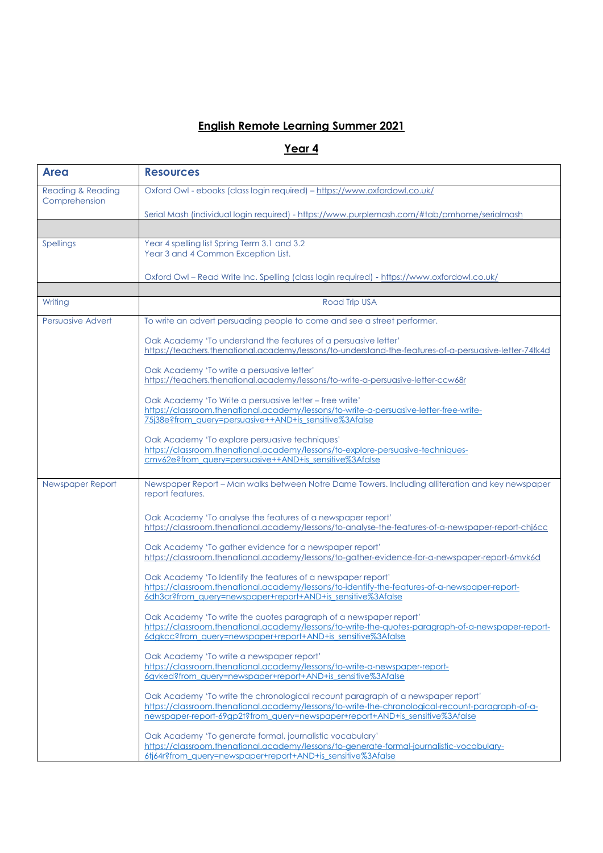## **English Remote Learning Summer 2021**

## **Year 4**

| <b>Area</b>                                   | <b>Resources</b>                                                                                                                                                                 |
|-----------------------------------------------|----------------------------------------------------------------------------------------------------------------------------------------------------------------------------------|
| <b>Reading &amp; Reading</b><br>Comprehension | Oxford Owl - ebooks (class login required) - https://www.oxfordowl.co.uk/                                                                                                        |
|                                               | Serial Mash (individual login required) - https://www.purplemash.com/#tab/pmhome/serialmash                                                                                      |
|                                               |                                                                                                                                                                                  |
| Spellings                                     | Year 4 spelling list Spring Term 3.1 and 3.2<br>Year 3 and 4 Common Exception List.                                                                                              |
|                                               | Oxford Owl - Read Write Inc. Spelling (class login required) - https://www.oxfordowl.co.uk/                                                                                      |
|                                               |                                                                                                                                                                                  |
| Writing                                       | Road Trip USA                                                                                                                                                                    |
| Persuasive Advert                             | To write an advert persuading people to come and see a street performer.                                                                                                         |
|                                               | Oak Academy 'To understand the features of a persuasive letter'                                                                                                                  |
|                                               | https://teachers.thenational.academy/lessons/to-understand-the-features-of-a-persuasive-letter-74tk4d                                                                            |
|                                               | Oak Academy 'To write a persuasive letter'<br>https://teachers.thenational.academy/lessons/to-write-a-persuasive-letter-ccw68r                                                   |
|                                               |                                                                                                                                                                                  |
|                                               | Oak Academy 'To Write a persuasive letter – free write'<br>https://classroom.thenational.academy/lessons/to-write-a-persuasive-letter-free-write-                                |
|                                               | 75j38e?from query=persuasive++AND+is sensitive%3Afalse                                                                                                                           |
|                                               | Oak Academy 'To explore persuasive techniques'                                                                                                                                   |
|                                               | https://classroom.thenational.academy/lessons/to-explore-persuasive-techniques-                                                                                                  |
|                                               | cmv62e?from query=persuasive++AND+is sensitive%3Afalse                                                                                                                           |
| Newspaper Report                              | Newspaper Report - Man walks between Notre Dame Towers. Including alliteration and key newspaper<br>report features.                                                             |
|                                               | Oak Academy 'To analyse the features of a newspaper report'                                                                                                                      |
|                                               | https://classroom.thenational.academy/lessons/to-analyse-the-features-of-a-newspaper-report-chi6cc                                                                               |
|                                               | Oak Academy 'To gather evidence for a newspaper report'<br>https://classroom.thenational.academy/lessons/to-gather-evidence-for-a-newspaper-report-6mvk6d                        |
|                                               | Oak Academy 'To Identify the features of a newspaper report'                                                                                                                     |
|                                               | https://classroom.thenational.academy/lessons/to-identify-the-features-of-a-newspaper-report-<br>6dh3cr?from query=newspaper+report+AND+is sensitive%3Afalse                     |
|                                               |                                                                                                                                                                                  |
|                                               | Oak Academy 'To write the quotes paragraph of a newspaper report'<br>https://classroom.thenational.academy/lessons/to-write-the-quotes-paragraph-of-a-newspaper-report-          |
|                                               | 6dgkcc?from_query=newspaper+report+AND+is_sensitive%3Afalse                                                                                                                      |
|                                               | Oak Academy 'To write a newspaper report'                                                                                                                                        |
|                                               | https://classroom.thenational.academy/lessons/to-write-a-newspaper-report-                                                                                                       |
|                                               | 6gvked?from_query=newspaper+report+AND+is_sensitive%3Afalse                                                                                                                      |
|                                               | Oak Academy 'To write the chronological recount paragraph of a newspaper report'                                                                                                 |
|                                               | https://classroom.thenational.academy/lessons/to-write-the-chronological-recount-paragraph-of-a-<br>newspaper-report-69ap2t?from_auery=newspaper+report+AND+is_sensitive%3Afalse |
|                                               | Oak Academy 'To generate formal, journalistic vocabulary'                                                                                                                        |
|                                               | https://classroom.thenational.academy/lessons/to-generate-formal-journalistic-vocabulary-                                                                                        |
|                                               | 6tj64r?from_query=newspaper+report+AND+is_sensitive%3Afalse                                                                                                                      |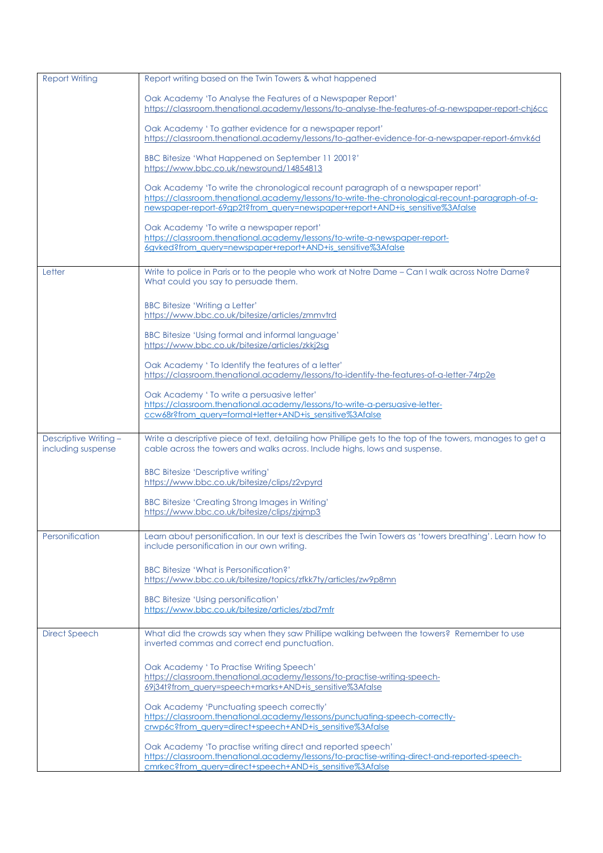| <b>Report Writing</b>                      | Report writing based on the Twin Towers & what happened                                                                                                                                                                                                              |
|--------------------------------------------|----------------------------------------------------------------------------------------------------------------------------------------------------------------------------------------------------------------------------------------------------------------------|
|                                            | Oak Academy 'To Analyse the Features of a Newspaper Report'<br>https://classroom.thenational.academy/lessons/to-analyse-the-features-of-a-newspaper-report-chi6cc                                                                                                    |
|                                            | Oak Academy ' To gather evidence for a newspaper report'<br>https://classroom.thenational.academy/lessons/to-gather-evidence-for-a-newspaper-report-6mvk6d                                                                                                           |
|                                            | BBC Bitesize 'What Happened on September 11 2001?'<br>https://www.bbc.co.uk/newsround/14854813                                                                                                                                                                       |
|                                            | Oak Academy 'To write the chronological recount paragraph of a newspaper report'<br>https://classroom.thenational.academy/lessons/to-write-the-chronological-recount-paragraph-of-a-<br>newspaper-report-69gp2t?from_query=newspaper+report+AND+is_sensitive%3Afalse |
|                                            | Oak Academy 'To write a newspaper report'                                                                                                                                                                                                                            |
|                                            | https://classroom.thenational.academy/lessons/to-write-a-newspaper-report-<br>6gyked?from_query=newspaper+report+AND+is_sensitive%3Afalse                                                                                                                            |
| Letter                                     | Write to police in Paris or to the people who work at Notre Dame - Can I walk across Notre Dame?<br>What could you say to persuade them.                                                                                                                             |
|                                            | <b>BBC Bitesize 'Writing a Letter'</b><br>https://www.bbc.co.uk/bitesize/articles/zmmvtrd                                                                                                                                                                            |
|                                            | BBC Bitesize 'Using formal and informal language'<br>https://www.bbc.co.uk/bitesize/articles/zkkj2sa                                                                                                                                                                 |
|                                            | Oak Academy ' To Identify the features of a letter'<br>https://classroom.thenational.academy/lessons/to-identify-the-features-of-a-letter-74rp2e                                                                                                                     |
|                                            | Oak Academy ' To write a persuasive letter'<br>https://classroom.thenational.academy/lessons/to-write-a-persuasive-letter-<br>ccw68r?from query=formal+letter+AND+is sensitive%3Afalse                                                                               |
| Descriptive Writing-<br>including suspense | Write a descriptive piece of text, detailing how Phillipe gets to the top of the towers, manages to get a<br>cable across the towers and walks across. Include highs, lows and suspense.                                                                             |
|                                            | <b>BBC Bitesize 'Descriptive writing'</b><br>https://www.bbc.co.uk/bitesize/clips/z2vpyrd                                                                                                                                                                            |
|                                            | BBC Bitesize 'Creating Strong Images in Writing'<br>https://www.bbc.co.uk/bitesize/clips/zjxjmp3                                                                                                                                                                     |
| Personification                            | Learn about personification. In our text is describes the Twin Towers as 'towers breathing'. Learn how to<br>include personification in our own writing.                                                                                                             |
|                                            | <b>BBC Bitesize 'What is Personification?'</b><br>https://www.bbc.co.uk/bitesize/topics/zfkk7ty/articles/zw9p8mn                                                                                                                                                     |
|                                            | <b>BBC Bitesize 'Using personification'</b><br>https://www.bbc.co.uk/bitesize/articles/zbd7mfr                                                                                                                                                                       |
| <b>Direct Speech</b>                       | What did the crowds say when they saw Phillipe walking between the towers? Remember to use<br>inverted commas and correct end punctuation.                                                                                                                           |
|                                            | Oak Academy ' To Practise Writing Speech'<br>https://classroom.thenational.academy/lessons/to-practise-writing-speech-<br>69j34t?from_query=speech+marks+AND+is_sensitive%3Afalse                                                                                    |
|                                            | Oak Academy 'Punctuating speech correctly'<br>https://classroom.thenational.academy/lessons/punctuating-speech-correctly-<br>crwp6c?from query=direct+speech+AND+is sensitive%3Afalse                                                                                |
|                                            | Oak Academy 'To practise writing direct and reported speech'<br>https://classroom.thenational.academy/lessons/to-practise-writing-direct-and-reported-speech-<br>cmrkec?from_query=direct+speech+AND+is_sensitive%3Afalse                                            |